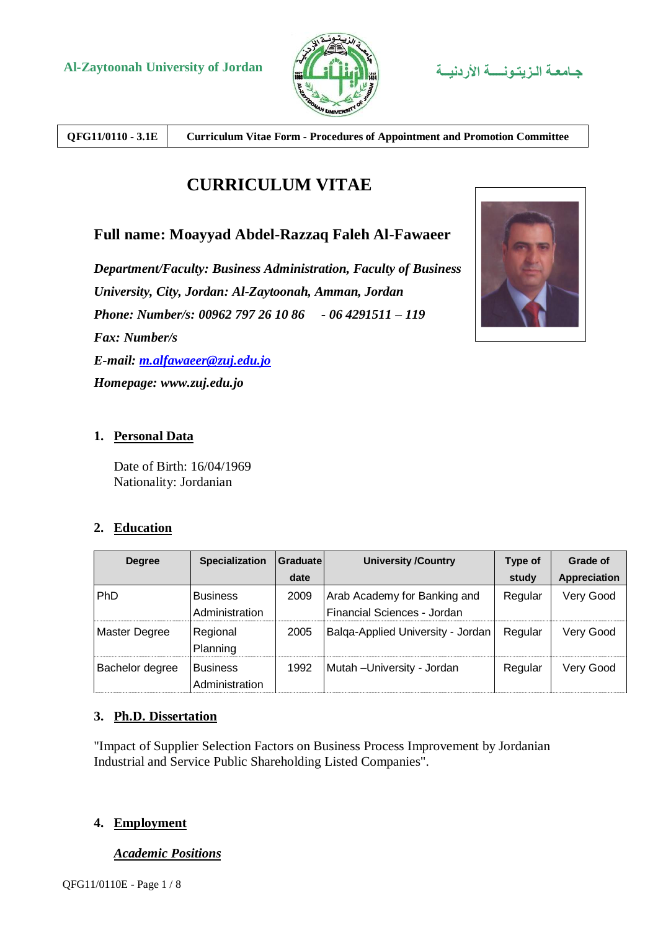

**QFG11/0110 - 3.1E Curriculum Vitae Form - Procedures of Appointment and Promotion Committee**

## **CURRICULUM VITAE**

### **Full name: Moayyad Abdel-Razzaq Faleh Al-Fawaeer**

*Department/Faculty: Business Administration, Faculty of Business University, City, Jordan: Al-Zaytoonah, Amman, Jordan Phone: Number/s: 00962 797 26 10 86 - 06 4291511 – 119 Fax: Number/s E-mail: [m.alfawaeer@zuj.edu.jo](mailto:m.alfawaeer@zuj.edu.jo) Homepage: www.zuj.edu.jo*



#### **1. Personal Data**

Date of Birth: 16/04/1969 Nationality: Jordanian

#### **2. Education**

| <b>Degree</b>   | <b>Specialization</b>             | Graduatel | <b>University /Country</b>                                  | <b>Type of</b> | Grade of     |
|-----------------|-----------------------------------|-----------|-------------------------------------------------------------|----------------|--------------|
|                 |                                   | date      |                                                             | study          | Appreciation |
| PhD             | <b>Business</b><br>Administration | 2009      | Arab Academy for Banking and<br>Financial Sciences - Jordan | Regular        | Very Good    |
| Master Degree   | Regional<br>Planning              | 2005      | Balga-Applied University - Jordan                           | Regular        | Very Good    |
| Bachelor degree | <b>Business</b><br>Administration | 1992      | Mutah - University - Jordan                                 | Regular        | Very Good    |

#### **3. Ph.D. Dissertation**

"Impact of Supplier Selection Factors on Business Process Improvement by Jordanian Industrial and Service Public Shareholding Listed Companies".

#### **4. Employment**

#### *Academic Positions*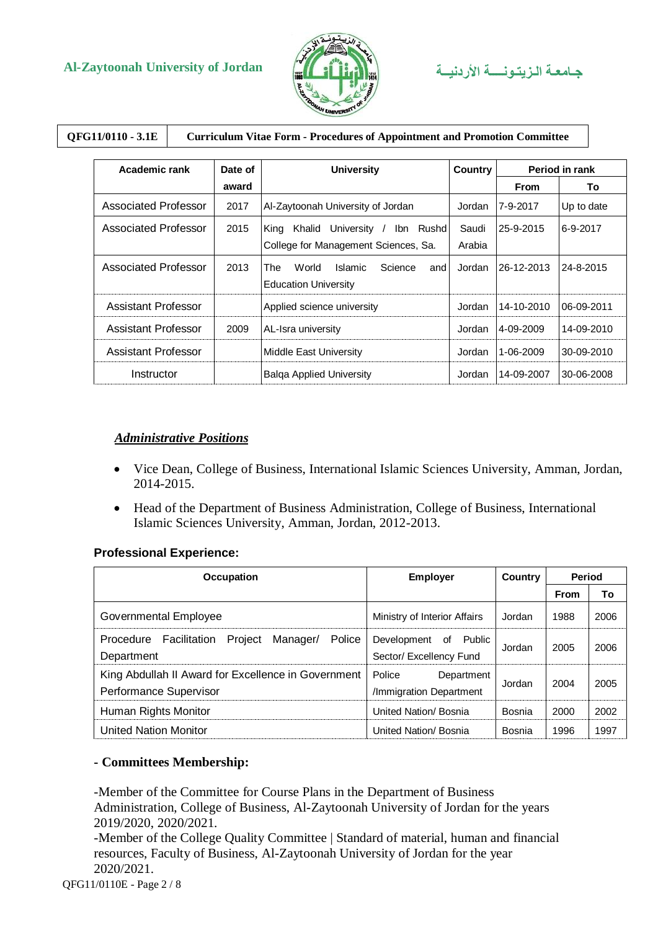

### **QFG11/0110 - 3.1E Curriculum Vitae Form - Procedures of Appointment and Promotion Committee**

| Academic rank        | Date of | <b>University</b>                                                                   | <b>Country</b>  | Period in rank |            |
|----------------------|---------|-------------------------------------------------------------------------------------|-----------------|----------------|------------|
|                      | award   |                                                                                     |                 | <b>From</b>    | To         |
| Associated Professor | 2017    | Al-Zaytoonah University of Jordan                                                   | Jordan          | 7-9-2017       | Up to date |
| Associated Professor | 2015    | University /<br>Khalid<br>Ibn Rushd<br>King<br>College for Management Sciences, Sa. | Saudi<br>Arabia | 25-9-2015      | 6-9-2017   |
| Associated Professor | 2013    | The<br>World<br>Science<br>Islamic<br>and<br><b>Education University</b>            | Jordan          | 26-12-2013     | 24-8-2015  |
| Assistant Professor  |         | Applied science university                                                          | Jordan          | 14-10-2010     | 06-09-2011 |
| Assistant Professor  | 2009    | AL-Isra university                                                                  | Jordan          | 4-09-2009      | 14-09-2010 |
| Assistant Professor  |         | <b>Middle East University</b>                                                       | Jordan          | 1-06-2009      | 30-09-2010 |
| Instructor           |         | <b>Balga Applied University</b>                                                     | Jordan          | 14-09-2007     | 30-06-2008 |

#### *Administrative Positions*

- Vice Dean, College of Business, International Islamic Sciences University, Amman, Jordan, 2014-2015.
- Head of the Department of Business Administration, College of Business, International Islamic Sciences University, Amman, Jordan, 2012-2013.

#### **Professional Experience:**

| <b>Occupation</b>                                                             | <b>Employer</b>                                  | <b>Country</b> | <b>Period</b> |      |
|-------------------------------------------------------------------------------|--------------------------------------------------|----------------|---------------|------|
|                                                                               |                                                  |                | <b>From</b>   | To   |
| Governmental Employee                                                         | Ministry of Interior Affairs                     | Jordan         | 1988          | 2006 |
| Manager/<br>Project<br>Police<br>Procedure<br>Facilitation<br>Department      | Development of Public<br>Sector/ Excellency Fund | Jordan         | 2005          | 2006 |
| King Abdullah II Award for Excellence in Government<br>Performance Supervisor | Police<br>Department<br>/Immigration Department  | Jordan         | 2004          | 2005 |
| Human Rights Monitor                                                          | United Nation/Bosnia                             | Bosnia         | 2000          | 2002 |
| <b>United Nation Monitor</b>                                                  | United Nation/Bosnia                             | Bosnia         | 1996          | 1997 |

#### **- Committees Membership:**

-Member of the Committee for Course Plans in the Department of Business Administration, College of Business, Al-Zaytoonah University of Jordan for the years 2019/2020, 2020/2021.

-Member of the College Quality Committee | Standard of material, human and financial resources, Faculty of Business, Al-Zaytoonah University of Jordan for the year 2020/2021.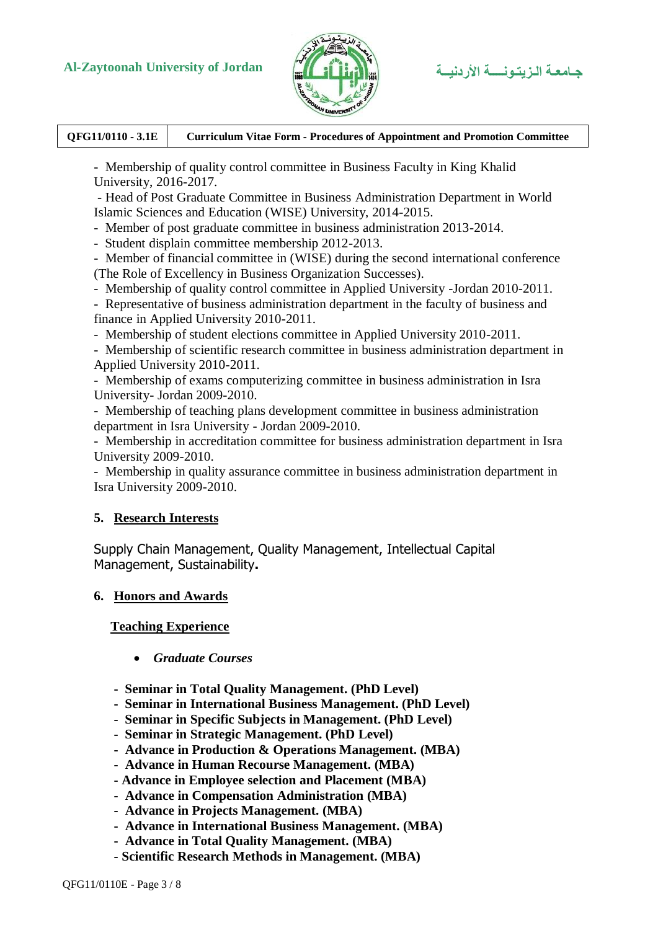

**QFG11/0110 - 3.1E Curriculum Vitae Form - Procedures of Appointment and Promotion Committee**

- Membership of quality control committee in Business Faculty in King Khalid University, 2016-2017.

- Head of Post Graduate Committee in Business Administration Department in World Islamic Sciences and Education (WISE) University, 2014-2015.

- Member of post graduate committee in business administration 2013-2014.

- Student displain committee membership 2012-2013.

- Member of financial committee in (WISE) during the second international conference (The Role of Excellency in Business Organization Successes).

- Membership of quality control committee in Applied University -Jordan 2010-2011.

- Representative of business administration department in the faculty of business and finance in Applied University 2010-2011.

- Membership of student elections committee in Applied University 2010-2011.

- Membership of scientific research committee in business administration department in Applied University 2010-2011.

- Membership of exams computerizing committee in business administration in Isra University- Jordan 2009-2010.

- Membership of teaching plans development committee in business administration department in Isra University - Jordan 2009-2010.

- Membership in accreditation committee for business administration department in Isra University 2009-2010.

- Membership in quality assurance committee in business administration department in Isra University 2009-2010.

#### **5. Research Interests**

Supply Chain Management, Quality Management, Intellectual Capital Management, Sustainability**.**

#### **6. Honors and Awards**

**Teaching Experience**

- *Graduate Courses*
- **Seminar in Total Quality Management. (PhD Level)**
- **Seminar in International Business Management. (PhD Level)**
- **Seminar in Specific Subjects in Management. (PhD Level)**
- **Seminar in Strategic Management. (PhD Level)**
- **Advance in Production & Operations Management. (MBA)**
- **Advance in Human Recourse Management. (MBA)**
- **- Advance in Employee selection and Placement (MBA)**
- **Advance in Compensation Administration (MBA)**
- **Advance in Projects Management. (MBA)**
- **Advance in International Business Management. (MBA)**
- **Advance in Total Quality Management. (MBA)**
- **- Scientific Research Methods in Management. (MBA)**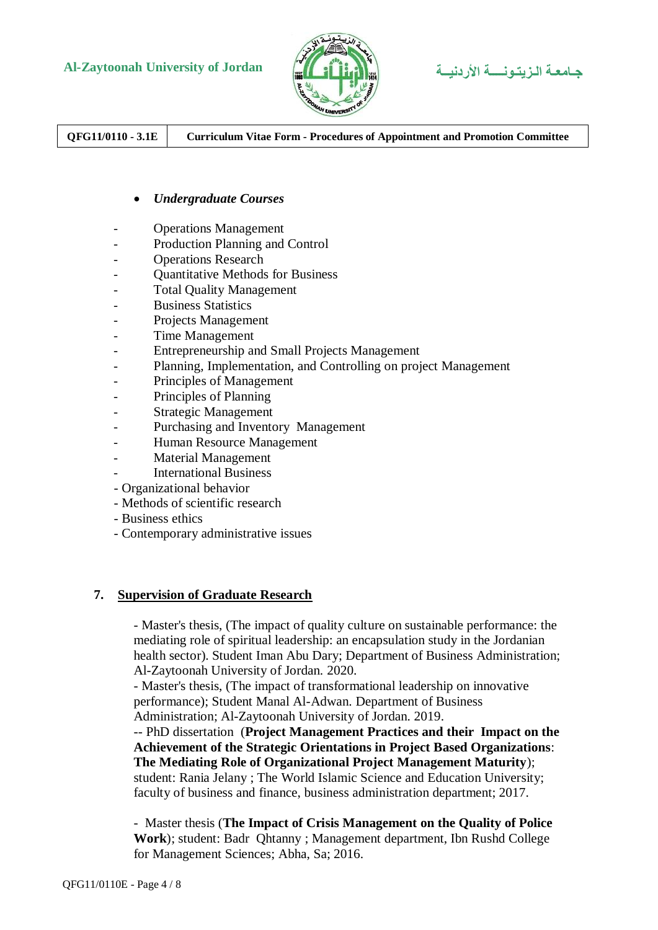

**QFG11/0110 - 3.1E Curriculum Vitae Form - Procedures of Appointment and Promotion Committee**

#### *Undergraduate Courses*

- Operations Management
- Production Planning and Control
- Operations Research
- Quantitative Methods for Business
- Total Quality Management
- Business Statistics
- Projects Management
- Time Management
- Entrepreneurship and Small Projects Management
- Planning, Implementation, and Controlling on project Management
- Principles of Management
- Principles of Planning
- Strategic Management
- Purchasing and Inventory Management
- Human Resource Management
- Material Management
- International Business
- Organizational behavior
- Methods of scientific research
- Business ethics
- Contemporary administrative issues

#### **7. Supervision of Graduate Research**

- Master's thesis, (The impact of quality culture on sustainable performance: the mediating role of spiritual leadership: an encapsulation study in the Jordanian health sector). Student Iman Abu Dary; Department of Business Administration; Al-Zaytoonah University of Jordan. 2020.

- Master's thesis, (The impact of transformational leadership on innovative performance); Student Manal Al-Adwan. Department of Business

Administration; Al-Zaytoonah University of Jordan. 2019.

-- PhD dissertation (**Project Management Practices and their Impact on the Achievement of the Strategic Orientations in Project Based Organizations**: **The Mediating Role of Organizational Project Management Maturity**);

student: Rania Jelany ; The World Islamic Science and Education University; faculty of business and finance, business administration department; 2017.

- Master thesis (**The Impact of Crisis Management on the Quality of Police Work**); student: Badr Qhtanny ; Management department, Ibn Rushd College for Management Sciences; Abha, Sa; 2016.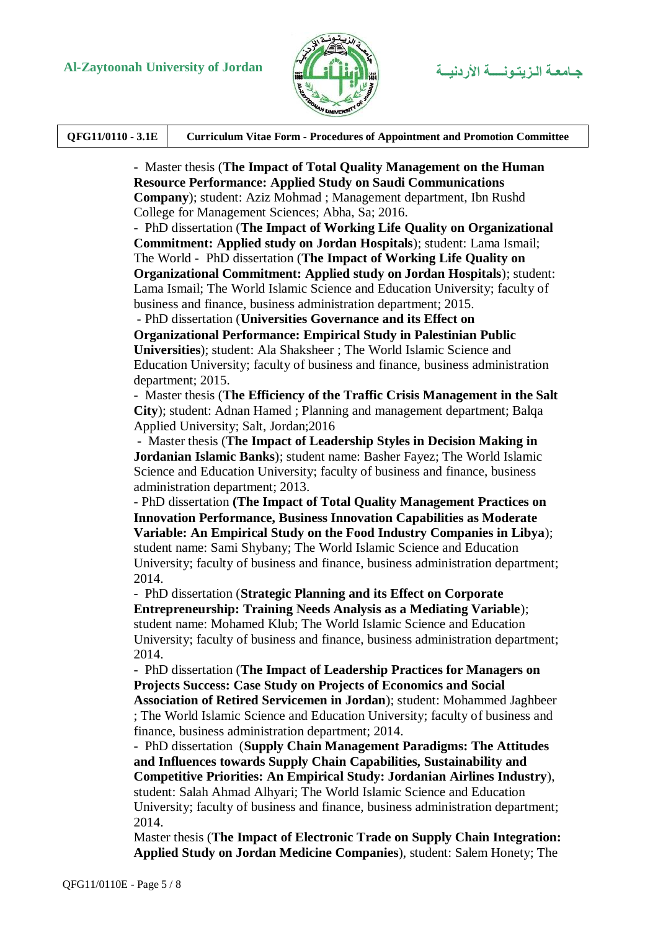

| QFG11/0110 - 3.1E<br><b>Curriculum Vitae Form - Procedures of Appointment and Promotion Committee</b> |
|-------------------------------------------------------------------------------------------------------|
|-------------------------------------------------------------------------------------------------------|

- Master thesis (**The Impact of Total Quality Management on the Human Resource Performance: Applied Study on Saudi Communications Company**); student: Aziz Mohmad ; Management department, Ibn Rushd College for Management Sciences; Abha, Sa; 2016.

- PhD dissertation (**The Impact of Working Life Quality on Organizational Commitment: Applied study on Jordan Hospitals**); student: Lama Ismail; The World - PhD dissertation (**The Impact of Working Life Quality on Organizational Commitment: Applied study on Jordan Hospitals**); student: Lama Ismail; The World Islamic Science and Education University; faculty of business and finance, business administration department; 2015.

- PhD dissertation (**Universities Governance and its Effect on** 

**Organizational Performance: Empirical Study in Palestinian Public Universities**); student: Ala Shaksheer ; The World Islamic Science and Education University; faculty of business and finance, business administration department; 2015.

- Master thesis (**The Efficiency of the Traffic Crisis Management in the Salt City**); student: Adnan Hamed ; Planning and management department; Balqa Applied University; Salt, Jordan;2016

- Master thesis (**The Impact of Leadership Styles in Decision Making in Jordanian Islamic Banks**); student name: Basher Fayez; The World Islamic Science and Education University; faculty of business and finance, business administration department; 2013.

- PhD dissertation **(The Impact of Total Quality Management Practices on Innovation Performance, Business Innovation Capabilities as Moderate Variable: An Empirical Study on the Food Industry Companies in Libya**); student name: Sami Shybany; The World Islamic Science and Education University; faculty of business and finance, business administration department; 2014.

- PhD dissertation (**Strategic Planning and its Effect on Corporate Entrepreneurship: Training Needs Analysis as a Mediating Variable**); student name: Mohamed Klub; The World Islamic Science and Education University; faculty of business and finance, business administration department; 2014.

- PhD dissertation (**The Impact of Leadership Practices for Managers on Projects Success: Case Study on Projects of Economics and Social Association of Retired Servicemen in Jordan**); student: Mohammed Jaghbeer ; The World Islamic Science and Education University; faculty of business and finance, business administration department; 2014.

- PhD dissertation (**Supply Chain Management Paradigms: The Attitudes and Influences towards Supply Chain Capabilities, Sustainability and Competitive Priorities: An Empirical Study: Jordanian Airlines Industry**), student: Salah Ahmad Alhyari; The World Islamic Science and Education University; faculty of business and finance, business administration department; 2014.

Master thesis (**The Impact of Electronic Trade on Supply Chain Integration: Applied Study on Jordan Medicine Companies**), student: Salem Honety; The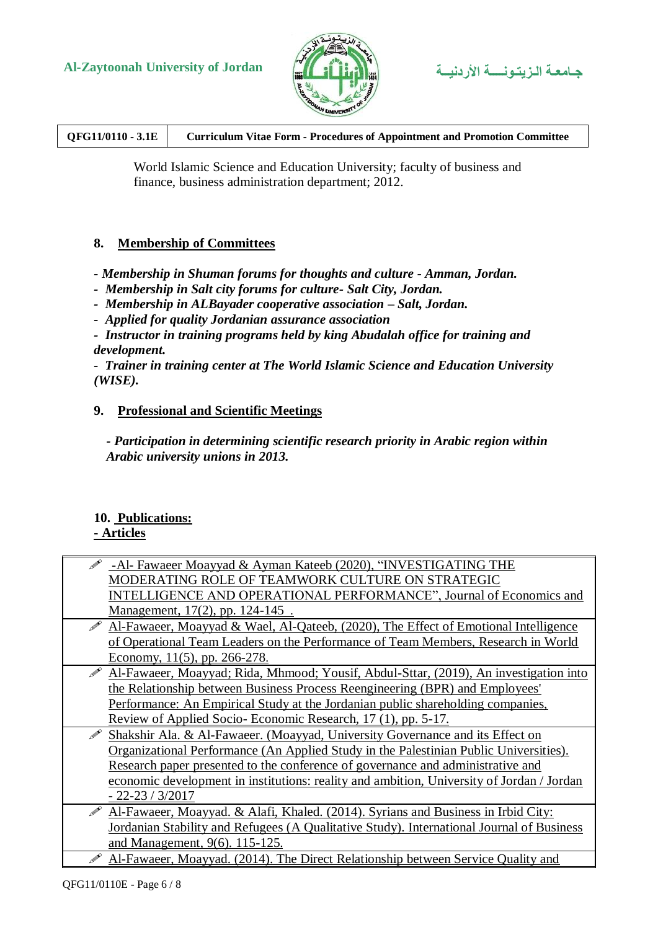



**QFG11/0110 - 3.1E Curriculum Vitae Form - Procedures of Appointment and Promotion Committee**

World Islamic Science and Education University; faculty of business and finance, business administration department; 2012.

#### **8. Membership of Committees**

*- Membership in Shuman forums for thoughts and culture - Amman, Jordan.* 

*- Membership in Salt city forums for culture- Salt City, Jordan.*

*- Membership in ALBayader cooperative association – Salt, Jordan.*

*- Applied for quality Jordanian assurance association* 

*- Instructor in training programs held by king Abudalah office for training and development.*

*- Trainer in training center at The World Islamic Science and Education University (WISE).*

#### **9. Professional and Scientific Meetings**

*- Participation in determining scientific research priority in Arabic region within Arabic university unions in 2013.* 

#### **10. Publications: - Articles**

| -Al- Fawaeer Moayyad & Ayman Kateeb (2020), "INVESTIGATING THE                            |
|-------------------------------------------------------------------------------------------|
| MODERATING ROLE OF TEAMWORK CULTURE ON STRATEGIC                                          |
| INTELLIGENCE AND OPERATIONAL PERFORMANCE", Journal of Economics and                       |
| <u>Management, 17(2), pp. 124-145.</u>                                                    |
| Al-Fawaeer, Moayyad & Wael, Al-Qateeb, (2020), The Effect of Emotional Intelligence       |
| of Operational Team Leaders on the Performance of Team Members, Research in World         |
| Economy, $11(5)$ , pp. 266-278.                                                           |
| Al-Fawaeer, Moayyad; Rida, Mhmood; Yousif, Abdul-Sttar, (2019), An investigation into     |
| the Relationship between Business Process Reengineering (BPR) and Employees'              |
| Performance: An Empirical Study at the Jordanian public shareholding companies,           |
| Review of Applied Socio-Economic Research, 17 (1), pp. 5-17.                              |
| Shakshir Ala. & Al-Fawaeer. (Moayyad, University Governance and its Effect on             |
| Organizational Performance (An Applied Study in the Palestinian Public Universities).     |
| Research paper presented to the conference of governance and administrative and           |
| economic development in institutions: reality and ambition, University of Jordan / Jordan |
| $-22 - 23 / 3/2017$                                                                       |
| Al-Fawaeer, Moayyad. & Alafi, Khaled. (2014). Syrians and Business in Irbid City:         |
| Jordanian Stability and Refugees (A Qualitative Study). International Journal of Business |
| and Management, 9(6). 115-125.                                                            |
| Al-Fawaeer, Moayyad. (2014). The Direct Relationship between Service Quality and          |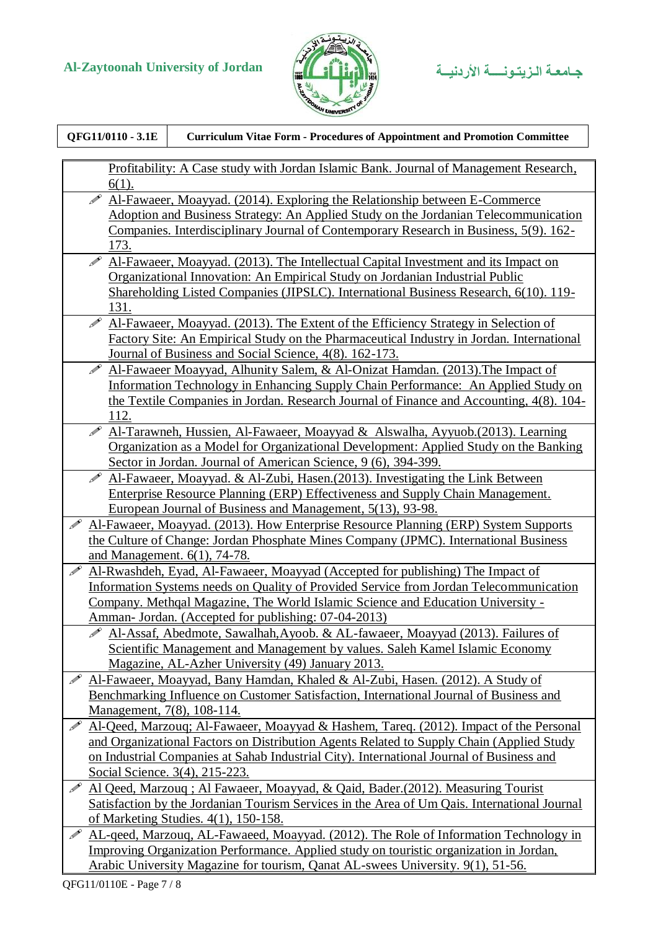

| QFG11/0110 - 3.1E                 | <b>Curriculum Vitae Form - Procedures of Appointment and Promotion Committee</b>                                                                   |
|-----------------------------------|----------------------------------------------------------------------------------------------------------------------------------------------------|
|                                   | <u>Profitability: A Case study with Jordan Islamic Bank. Journal of Management Research,</u>                                                       |
| $6(1)$ .                          |                                                                                                                                                    |
| $\overline{\mathscr{P}}$          | Al-Fawaeer, Moayyad. (2014). Exploring the Relationship between E-Commerce                                                                         |
|                                   | Adoption and Business Strategy: An Applied Study on the Jordanian Telecommunication                                                                |
|                                   | Companies. Interdisciplinary Journal of Contemporary Research in Business, 5(9). 162-                                                              |
| 173.                              |                                                                                                                                                    |
| $\overline{\mathscr{P}}$          | Al-Fawaeer, Moayyad. (2013). The Intellectual Capital Investment and its Impact on                                                                 |
|                                   | Organizational Innovation: An Empirical Study on Jordanian Industrial Public                                                                       |
|                                   | Shareholding Listed Companies (JIPSLC). International Business Research, 6(10). 119-                                                               |
| 131.                              |                                                                                                                                                    |
| $\mathscr{P}$                     | Al-Fawaeer, Moayyad. (2013). The Extent of the Efficiency Strategy in Selection of                                                                 |
|                                   | Factory Site: An Empirical Study on the Pharmaceutical Industry in Jordan. International                                                           |
|                                   | Journal of Business and Social Science, 4(8). 162-173.                                                                                             |
| $\mathscr{D}$                     | Al-Fawaeer Moayyad, Alhunity Salem, & Al-Onizat Hamdan. (2013). The Impact of                                                                      |
|                                   | Information Technology in Enhancing Supply Chain Performance: An Applied Study on                                                                  |
|                                   | the Textile Companies in Jordan. Research Journal of Finance and Accounting, 4(8). 104-                                                            |
| 112.                              |                                                                                                                                                    |
| $\mathscr{P}$                     | Al-Tarawneh, Hussien, Al-Fawaeer, Moayyad & Alswalha, Ayyuob.(2013). Learning                                                                      |
|                                   | Organization as a Model for Organizational Development: Applied Study on the Banking                                                               |
| $\mathscr{P}$                     | Sector in Jordan. Journal of American Science, 9 (6), 394-399.                                                                                     |
|                                   | Al-Fawaeer, Moayyad. & Al-Zubi, Hasen. (2013). Investigating the Link Between                                                                      |
|                                   | <b>Enterprise Resource Planning (ERP) Effectiveness and Supply Chain Management.</b><br>European Journal of Business and Management, 5(13), 93-98. |
| $\mathscr{P}$                     | Al-Fawaeer, Moayyad. (2013). How Enterprise Resource Planning (ERP) System Supports                                                                |
|                                   | the Culture of Change: Jordan Phosphate Mines Company (JPMC). International Business                                                               |
|                                   | and Management. 6(1), 74-78.                                                                                                                       |
| $\mathscr{P}$                     | Al-Rwashdeh, Eyad, Al-Fawaeer, Moayyad (Accepted for publishing) The Impact of                                                                     |
|                                   | Information Systems needs on Quality of Provided Service from Jordan Telecommunication                                                             |
|                                   | Company. Methqal Magazine, The World Islamic Science and Education University -                                                                    |
|                                   | Amman- Jordan. (Accepted for publishing: 07-04-2013)                                                                                               |
|                                   | Al-Assaf, Abedmote, Sawalhah, Ayoob. & AL-fawaeer, Moayyad (2013). Failures of                                                                     |
|                                   | Scientific Management and Management by values. Saleh Kamel Islamic Economy                                                                        |
|                                   | Magazine, AL-Azher University (49) January 2013.                                                                                                   |
|                                   | Al-Fawaeer, Moayyad, Bany Hamdan, Khaled & Al-Zubi, Hasen. (2012). A Study of                                                                      |
|                                   | Benchmarking Influence on Customer Satisfaction, International Journal of Business and                                                             |
| <u>Management, 7(8), 108-114.</u> |                                                                                                                                                    |
|                                   | Al-Qeed, Marzoug; Al-Fawaeer, Moayyad & Hashem, Tareq. (2012). Impact of the Personal                                                              |
|                                   | and Organizational Factors on Distribution Agents Related to Supply Chain (Applied Study                                                           |
|                                   | on Industrial Companies at Sahab Industrial City). International Journal of Business and                                                           |
|                                   | Social Science. 3(4), 215-223.                                                                                                                     |
| $\mathscr{P}$                     | Al Qeed, Marzouq; Al Fawaeer, Moayyad, & Qaid, Bader. (2012). Measuring Tourist                                                                    |
|                                   | Satisfaction by the Jordanian Tourism Services in the Area of Um Qais. International Journal                                                       |
|                                   | of Marketing Studies. $4(1)$ , 150-158.                                                                                                            |
| $\mathscr{P}$                     | AL-geed, Marzoug, AL-Fawaeed, Moayyad. (2012). The Role of Information Technology in                                                               |
|                                   | Improving Organization Performance. Applied study on touristic organization in Jordan,                                                             |
|                                   | Arabic University Magazine for tourism, Qanat AL-swees University. 9(1), 51-56.                                                                    |